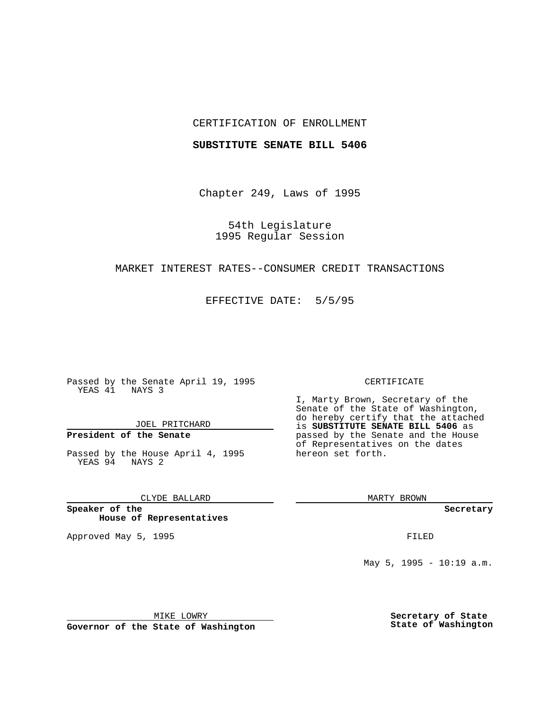## CERTIFICATION OF ENROLLMENT

### **SUBSTITUTE SENATE BILL 5406**

Chapter 249, Laws of 1995

54th Legislature 1995 Regular Session

## MARKET INTEREST RATES--CONSUMER CREDIT TRANSACTIONS

EFFECTIVE DATE: 5/5/95

Passed by the Senate April 19, 1995 YEAS 41 NAYS 3

JOEL PRITCHARD

# **President of the Senate**

Passed by the House April 4, 1995 YEAS 94 NAYS 2

CLYDE BALLARD

**Speaker of the House of Representatives**

Approved May 5, 1995 **FILED** 

#### CERTIFICATE

I, Marty Brown, Secretary of the Senate of the State of Washington, do hereby certify that the attached is **SUBSTITUTE SENATE BILL 5406** as passed by the Senate and the House of Representatives on the dates hereon set forth.

MARTY BROWN

**Secretary**

May 5, 1995 - 10:19 a.m.

MIKE LOWRY

**Governor of the State of Washington**

**Secretary of State State of Washington**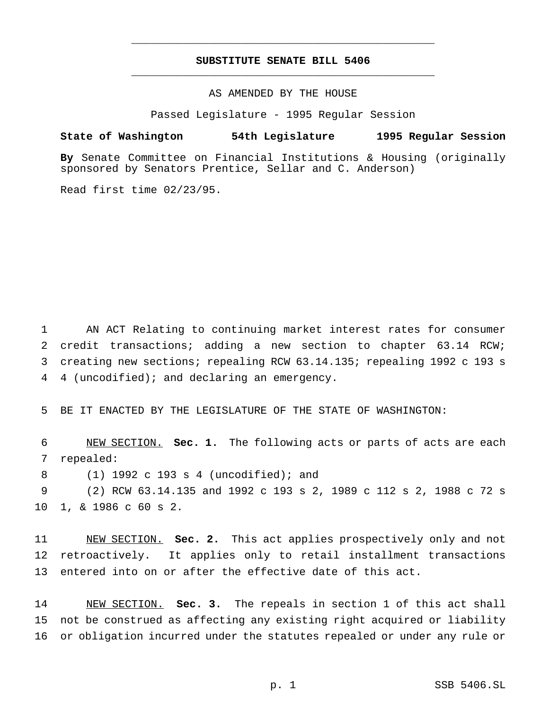## **SUBSTITUTE SENATE BILL 5406** \_\_\_\_\_\_\_\_\_\_\_\_\_\_\_\_\_\_\_\_\_\_\_\_\_\_\_\_\_\_\_\_\_\_\_\_\_\_\_\_\_\_\_\_\_\_\_

\_\_\_\_\_\_\_\_\_\_\_\_\_\_\_\_\_\_\_\_\_\_\_\_\_\_\_\_\_\_\_\_\_\_\_\_\_\_\_\_\_\_\_\_\_\_\_

AS AMENDED BY THE HOUSE

Passed Legislature - 1995 Regular Session

### **State of Washington 54th Legislature 1995 Regular Session**

**By** Senate Committee on Financial Institutions & Housing (originally sponsored by Senators Prentice, Sellar and C. Anderson)

Read first time 02/23/95.

 AN ACT Relating to continuing market interest rates for consumer 2 credit transactions; adding a new section to chapter 63.14 RCW; creating new sections; repealing RCW 63.14.135; repealing 1992 c 193 s 4 (uncodified); and declaring an emergency.

5 BE IT ENACTED BY THE LEGISLATURE OF THE STATE OF WASHINGTON:

6 NEW SECTION. **Sec. 1.** The following acts or parts of acts are each 7 repealed:

8 (1) 1992 c 193 s 4 (uncodified); and

9 (2) RCW 63.14.135 and 1992 c 193 s 2, 1989 c 112 s 2, 1988 c 72 s 10 1, & 1986 c 60 s 2.

11 NEW SECTION. **Sec. 2.** This act applies prospectively only and not 12 retroactively. It applies only to retail installment transactions 13 entered into on or after the effective date of this act.

14 NEW SECTION. **Sec. 3.** The repeals in section 1 of this act shall 15 not be construed as affecting any existing right acquired or liability 16 or obligation incurred under the statutes repealed or under any rule or